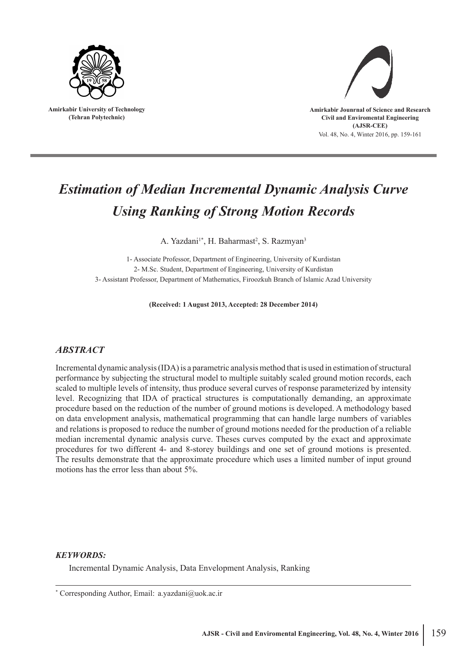

**Amirkabir University of Technology (Tehran Polytechnic)**



# *Estimation of Median Incremental Dynamic Analysis Curve Using Ranking of Strong Motion Records*

A. Yazdani<sup>1\*</sup>, H. Baharmast<sup>2</sup>, S. Razmyan<sup>3</sup>

1- Associate Professor, Department of Engineering, University of Kurdistan 2- M.Sc. Student, Department of Engineering, University of Kurdistan 3- Assistant Professor, Department of Mathematics, Firoozkuh Branch of Islamic Azad University

**(Received: 1 August 2013, Accepted: 28 December 2014)**

## *ABSTRACT*

Incremental dynamic analysis (IDA) is a parametric analysis method that is used in estimation of structural performance by subjecting the structural model to multiple suitably scaled ground motion records, each scaled to multiple levels of intensity, thus produce several curves of response parameterized by intensity level. Recognizing that IDA of practical structures is computationally demanding, an approximate procedure based on the reduction of the number of ground motions is developed. A methodology based on data envelopment analysis, mathematical programming that can handle large numbers of variables and relations is proposed to reduce the number of ground motions needed for the production of a reliable median incremental dynamic analysis curve. Theses curves computed by the exact and approximate procedures for two different 4- and 8-storey buildings and one set of ground motions is presented. The results demonstrate that the approximate procedure which uses a limited number of input ground motions has the error less than about 5%.

## *KEYWORDS:*

Incremental Dynamic Analysis, Data Envelopment Analysis, Ranking

\* Corresponding Author, Email: a.yazdani@uok.ac.ir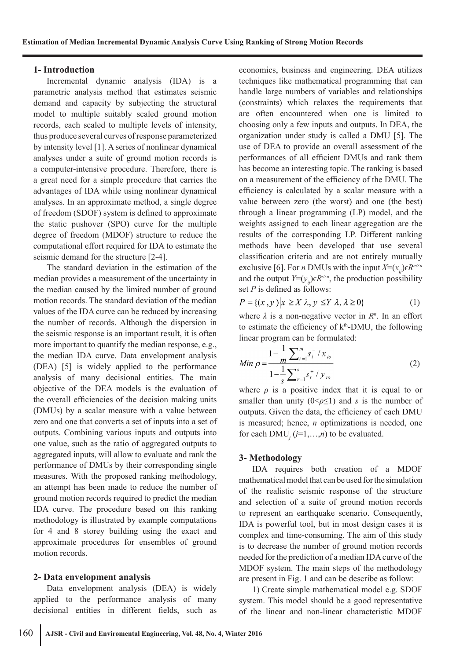### **1- Introduction**

Incremental dynamic analysis (IDA) is a parametric analysis method that estimates seismic demand and capacity by subjecting the structural model to multiple suitably scaled ground motion records, each scaled to multiple levels of intensity, thus produce several curves of response parameterized by intensity level [1]. A series of nonlinear dynamical analyses under a suite of ground motion records is a computer-intensive procedure. Therefore, there is a great need for a simple procedure that carries the advantages of IDA while using nonlinear dynamical analyses. In an approximate method, a single degree of freedom (SDOF) system is defined to approximate the static pushover (SPO) curve for the multiple degree of freedom (MDOF) structure to reduce the computational effort required for IDA to estimate the seismic demand for the structure [2-4].

The standard deviation in the estimation of the median provides a measurement of the uncertainty in the median caused by the limited number of ground motion records. The standard deviation of the median values of the IDA curve can be reduced by increasing the number of records. Although the dispersion in the seismic response is an important result, it is often more important to quantify the median response, e.g., the median IDA curve. Data envelopment analysis (DEA) [5] is widely applied to the performance analysis of many decisional entities. The main objective of the DEA models is the evaluation of the overall efficiencies of the decision making units (DMUs) by a scalar measure with a value between zero and one that converts a set of inputs into a set of outputs. Combining various inputs and outputs into one value, such as the ratio of aggregated outputs to aggregated inputs, will allow to evaluate and rank the performance of DMUs by their corresponding single measures. With the proposed ranking methodology, an attempt has been made to reduce the number of ground motion records required to predict the median IDA curve. The procedure based on this ranking methodology is illustrated by example computations for 4 and 8 storey building using the exact and approximate procedures for ensembles of ground motion records.

#### **2- Data envelopment analysis**

Data envelopment analysis (DEA) is widely applied to the performance analysis of many decisional entities in different fields, such as

economics, business and engineering. DEA utilizes techniques like mathematical programming that can handle large numbers of variables and relationships (constraints) which relaxes the requirements that are often encountered when one is limited to choosing only a few inputs and outputs. In DEA, the organization under study is called a DMU [5]. The use of DEA to provide an overall assessment of the performances of all efficient DMUs and rank them has become an interesting topic. The ranking is based on a measurement of the efficiency of the DMU. The efficiency is calculated by a scalar measure with a value between zero (the worst) and one (the best) through a linear programming (LP) model, and the weights assigned to each linear aggregation are the results of the corresponding LP. Different ranking methods have been developed that use several classification criteria and are not entirely mutually exclusive [6]. For *n* DMUs with the input  $X=(x_i) \in R^{m \times n}$ and the output *Y*= $(y_{ij}) \in R^{s \times n}$ , the production possibility set *P* is defined as follows:

$$
P = \{(x, y) | x \ge X \lambda, y \le Y \lambda, \lambda \ge 0\}
$$
 (1)

where  $\lambda$  is a non-negative vector in  $R<sup>n</sup>$ . In an effort to estimate the efficiency of  $k<sup>th</sup>$ -DMU, the following linear program can be formulated:

$$
Min \rho = \frac{1 - \frac{1}{m} \sum_{i=1}^{m} s_i^{-} / x_{io}}{1 - \frac{1}{s} \sum_{r=1}^{s} s_r^{+} / y_{ro}}
$$
(2)

where  $\rho$  is a positive index that it is equal to or smaller than unity  $(0 \le \rho \le 1)$  and *s* is the number of outputs. Given the data, the efficiency of each DMU is measured; hence, *n* optimizations is needed, one for each  $\text{DMU}_j$  ( $j=1,\ldots,n$ ) to be evaluated.

#### **3- Methodology**

IDA requires both creation of a MDOF mathematical model that can be used for the simulation of the realistic seismic response of the structure and selection of a suite of ground motion records to represent an earthquake scenario. Consequently, IDA is powerful tool, but in most design cases it is complex and time-consuming. The aim of this study is to decrease the number of ground motion records needed for the prediction of a median IDA curve of the MDOF system. The main steps of the methodology are present in Fig. 1 and can be describe as follow:

1) Create simple mathematical model e.g. SDOF system. This model should be a good representative of the linear and non-linear characteristic MDOF